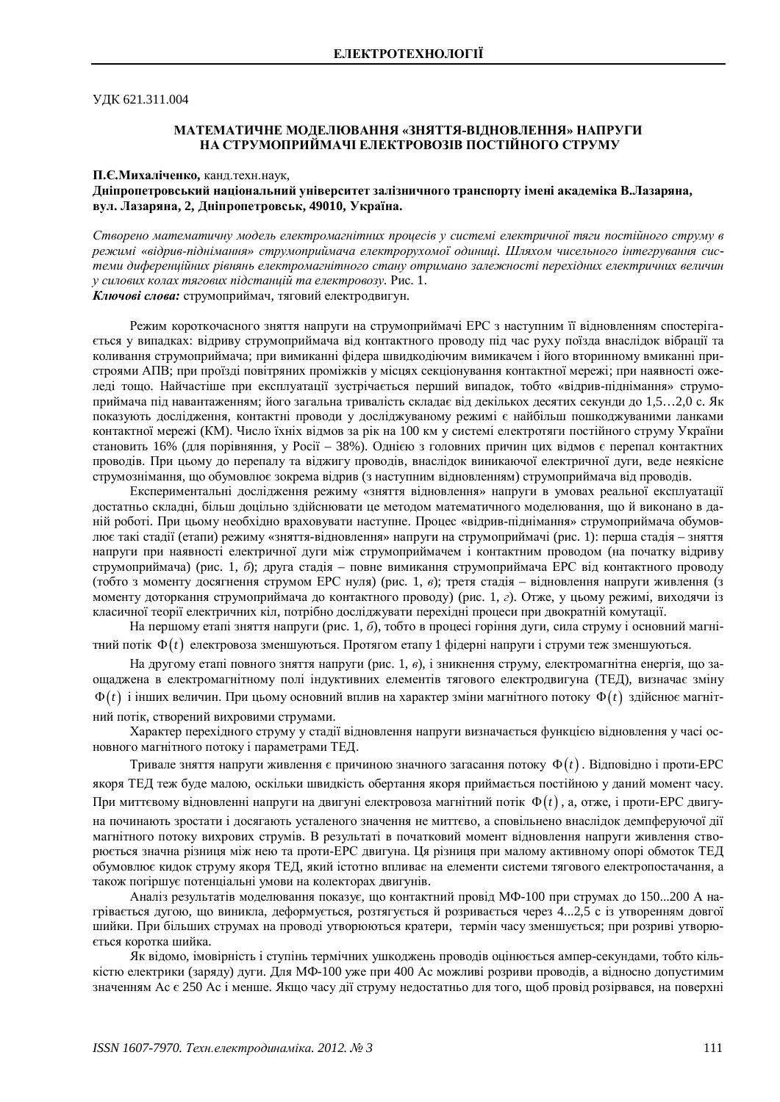ɍȾɄ 621.311.004

## **ɆȺɌȿɆȺɌɂɑɇȿɆɈȾȿɅɘȼȺɇɇə «ɁɇəɌɌəȼȱȾɇɈȼɅȿɇɇə» ɇȺɉɊɍȽɂ** НА СТРУМОПРИЙМАЧІ ЕЛЕКТРОВОЗІВ ПОСТІЙНОГО СТРУМУ

#### П.Є. Михаліченко, канд. техн. наук,

Дніпропетровський національний університет залізничного транспорту імені академіка В.Лазаряна, **вул.** Лазаряна, 2, Дніпропетровськ, 49010, Україна.

Створено математичну модель електромагнітних процесів у системі електричної тяги постійного струму в режимі «відрив-піднімання» струмоприймача електрорухомої одиниці. Шляхом чисельного інтегрування системи диференційних рівнянь електромагнітного стану отримано залежності перехідних електричних величин *v* силових колах тягових підстаниій та електровозу. Рис. 1.

Ключові слова: струмоприймач, тяговий електродвигун.

Режим короткочасного зняття напруги на струмоприймачі ЕРС з наступним її відновленням спостерігається у випадках: відриву струмоприймача від контактного проводу під час руху поїзда внаслідок вібрації та коливання струмоприймача; при вимиканні фідера швидкодіючим вимикачем і його вторинному вмиканні пристроями АПВ; при проїзді повітряних проміжків у місцях секціонування контактної мережі; при наявності ожеледі тощо. Найчастіше при експлуатації зустрічається перший випадок, тобто «відрив-піднімання» струмоприймача під навантаженням; його загальна тривалість складає від декількох десятих секунди до 1,5…2,0 с. Як показують дослідження, контактні проводи у досліджуваному режимі є найбільш пошкоджуваними ланками контактної мережі (КМ). Число їхніх відмов за рік на 100 км у системі електротяги постійного струму України становить 16% (для порівняння, у Росії – 38%). Однією з головних причин цих відмов є перепал контактних проводів. При цьому до перепалу та віджигу проводів, внаслідок виникаючої електричної дуги, веде неякісне струмознімання, що обумовлює зокрема відрив (з наступним відновленням) струмоприймача від проводів.

Експериментальні дослідження режиму «зняття відновлення» напруги в умовах реальної експлуатації достатньо складні, більш доцільно здійснювати це методом математичного моделювання, що й виконано в даній роботі. При цьому необхідно враховувати наступне. Процес «відрив-піднімання» струмоприймача обумовлює такі стадії (етапи) режиму «зняття-відновлення» напруги на струмоприймачі (рис. 1): перша стадія – зняття напруги при наявності електричної дуги між струмоприймачем і контактним проводом (на початку відриву струмоприймача) (рис. 1, б); друга стадія – повне вимикання струмоприймача ЕРС від контактного проводу (тобто з моменту досягнення струмом ЕРС нуля) (рис. 1, *в*); третя стадія – відновлення напруги живлення (з моменту доторкання струмоприймача до контактного проводу) (рис. 1, *г*). Отже, у цьому режимі, виходячи із класичної теорії електричних кіл, потрібно досліджувати перехідні процеси при двократній комутації.

На першому етапі зняття напруги (рис. 1, б), тобто в процесі горіння дуги, сила струму і основний магнітний потік  $\Phi(t)$  електровоза зменшуються. Протягом етапу 1 фідерні напруги і струми теж зменшуються.

На другому етапі повного зняття напруги (рис. 1, *в*), і зникнення струму, електромагнітна енергія, що заощаджена в електромагнітному полі індуктивних елементів тягового електродвигуна (ТЕД), визначає зміну  $\Phi(t)$  і інших величин. При цьому основний вплив на характер зміни магнітного потоку  $\Phi(t)$  здійснює магнітний потік, створений вихровими струмами.

Характер перехідного струму у стадії відновлення напруги визначається функцією відновлення у часі основного магнітного потоку і параметрами ТЕД.

Тривале зняття напруги живлення є причиною значного загасання потоку Ф(t). Відповідно і проти-ЕРС якоря ТЕД теж буде малою, оскільки швидкість обертання якоря приймається постійною у даний момент часу. При миттєвому відновленні напруги на двигуні електровоза магнітний потік Ф(t), а, отже, і проти-ЕРС двигуна починають зростати і досягають усталеного значення не миттєво, а сповільнено внаслідок демпферуючої дії магнітного потоку вихрових струмів. В результаті в початковий момент відновлення напруги живлення створюється значна різниця між нею та проти-ЕРС двигуна. Ця різниця при малому активному опорі обмоток ТЕД обумовлює кидок струму якоря ТЕД, який істотно впливає на елементи системи тягового електропостачання, а також погіршує потенціальні умови на колекторах двигунів.

Аналіз результатів моделювання показує, що контактний провід МФ-100 при струмах до 150...200 А нагрівається дугою, що виникла, деформується, розтягується й розривається через 4...2,5 с із утворенням довгої шийки. При більших струмах на проводі утворюються кратери, термін часу зменшується; при розриві утворюється коротка шийка.

Як відомо, імовірність і ступінь термічних ушкоджень проводів оцінюється ампер-секундами, тобто кількістю електрики (заряду) дуги. Для МФ-100 уже при 400 Ас можливі розриви проводів, а відносно допустимим значенням Ас є 250 Ас і менше. Якщо часу дії струму недостатньо для того, щоб провід розірвався, на поверхні